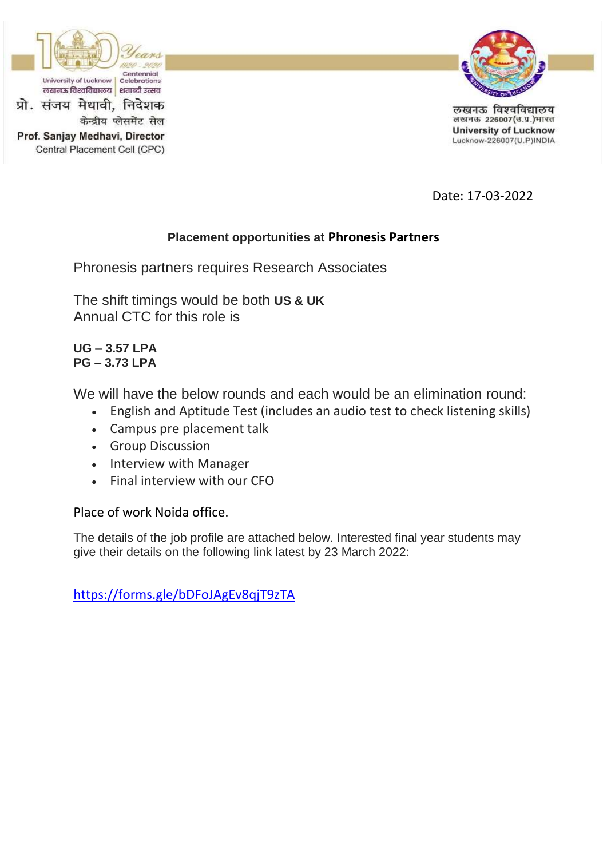

Prof. Sanjay Medhavi, Director

Central Placement Cell (CPC)

केन्द्रीय प्लेसमेंट सेल



लखनऊ विश्वविद्यालय लखनऊ 226007(उ.प्र.)भारत **University of Lucknow** Lucknow-226007(U.P)INDIA

Date: 17-03-2022

# **Placement opportunities at Phronesis Partners**

Phronesis partners requires Research Associates

The shift timings would be both **US & UK** Annual CTC for this role is

**UG – 3.57 LPA PG – 3.73 LPA**

We will have the below rounds and each would be an elimination round:

- English and Aptitude Test (includes an audio test to check listening skills)
- Campus pre placement talk
- Group Discussion
- Interview with Manager
- Final interview with our CFO

Place of work Noida office.

The details of the job profile are attached below. Interested final year students may give their details on the following link latest by 23 March 2022:

<https://forms.gle/bDFoJAgEv8qjT9zTA>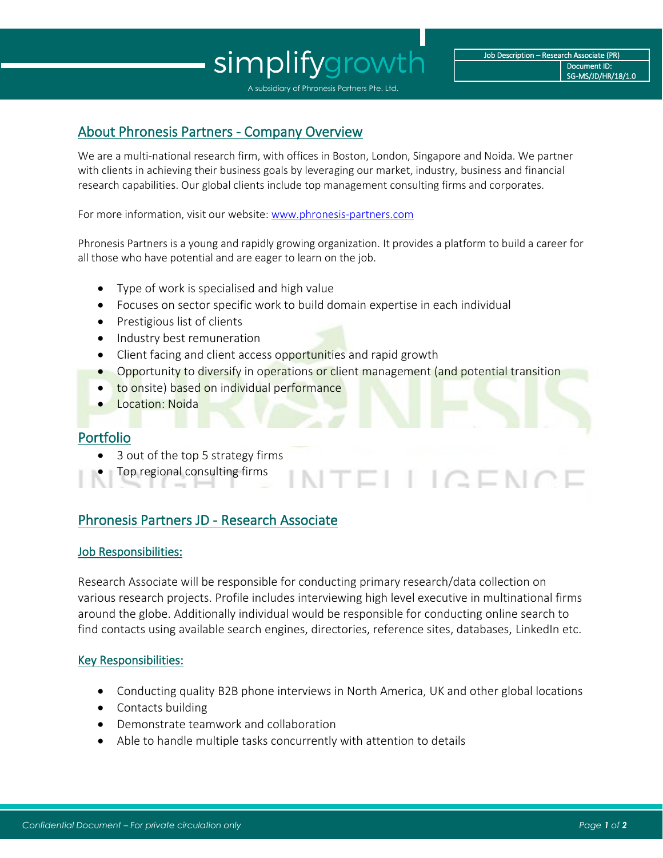# simplifygrowth

# About Phronesis Partners - Company Overview

We are a multi-national research firm, with offices in Boston, London, Singapore and Noida. We partner with clients in achieving their business goals by leveraging our market, industry, business and financial research capabilities. Our global clients include top management consulting firms and corporates.

For more information, visit our website[: www.phronesis-partners.com](http://www.phronesis-partners.com/)

Phronesis Partners is a young and rapidly growing organization. It provides a platform to build a career for all those who have potential and are eager to learn on the job.

- Type of work is specialised and high value
- Focuses on sector specific work to build domain expertise in each individual
- Prestigious list of clients
- Industry best remuneration
- Client facing and client access opportunities and rapid growth
- Opportunity to diversify in operations or client management (and potential transition

TELLIQENG

- to onsite) based on individual performance
- Location: Noida

## Portfolio

- 3 out of the top 5 strategy firms
- Top regional consulting firms

# Phronesis Partners JD - Research Associate

### Job Responsibilities:

Research Associate will be responsible for conducting primary research/data collection on various research projects. Profile includes interviewing high level executive in multinational firms around the globe. Additionally individual would be responsible for conducting online search to find contacts using available search engines, directories, reference sites, databases, LinkedIn etc.

### Key Responsibilities:

- Conducting quality B2B phone interviews in North America, UK and other global locations
- Contacts building
- Demonstrate teamwork and collaboration
- Able to handle multiple tasks concurrently with attention to details